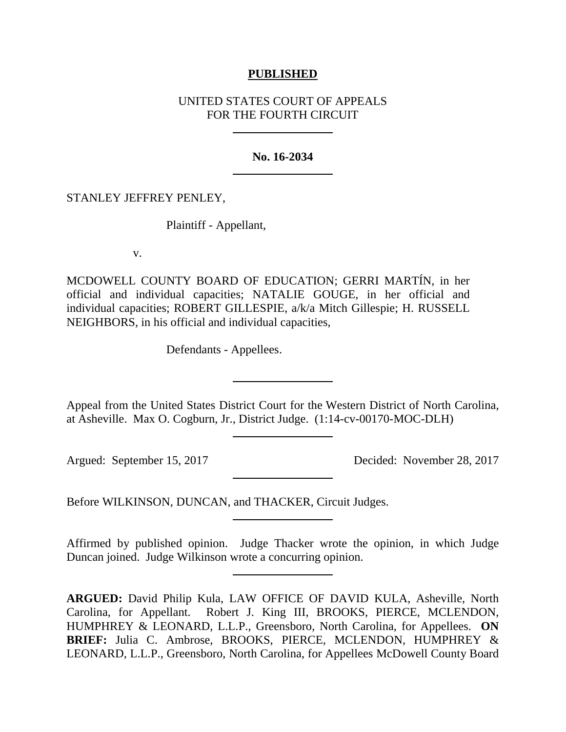## **PUBLISHED**

## UNITED STATES COURT OF APPEALS FOR THE FOURTH CIRCUIT

## **No. 16-2034**

## STANLEY JEFFREY PENLEY,

Plaintiff - Appellant,

v.

MCDOWELL COUNTY BOARD OF EDUCATION; GERRI MARTÍN, in her official and individual capacities; NATALIE GOUGE, in her official and individual capacities; ROBERT GILLESPIE, a/k/a Mitch Gillespie; H. RUSSELL NEIGHBORS, in his official and individual capacities,

Defendants - Appellees.

Appeal from the United States District Court for the Western District of North Carolina, at Asheville. Max O. Cogburn, Jr., District Judge. (1:14-cv-00170-MOC-DLH)

Argued: September 15, 2017 Decided: November 28, 2017

Before WILKINSON, DUNCAN, and THACKER, Circuit Judges.

Affirmed by published opinion. Judge Thacker wrote the opinion, in which Judge Duncan joined. Judge Wilkinson wrote a concurring opinion.

**ARGUED:** David Philip Kula, LAW OFFICE OF DAVID KULA, Asheville, North Carolina, for Appellant. Robert J. King III, BROOKS, PIERCE, MCLENDON, HUMPHREY & LEONARD, L.L.P., Greensboro, North Carolina, for Appellees. **ON BRIEF:** Julia C. Ambrose, BROOKS, PIERCE, MCLENDON, HUMPHREY & LEONARD, L.L.P., Greensboro, North Carolina, for Appellees McDowell County Board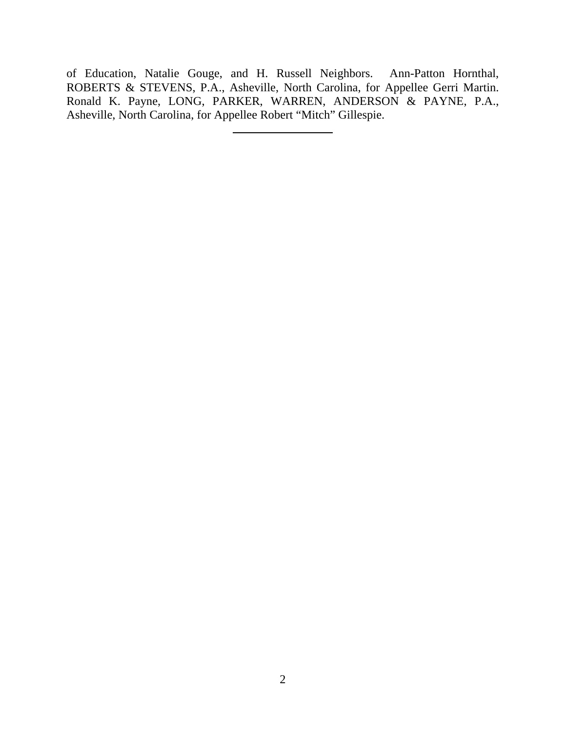of Education, Natalie Gouge, and H. Russell Neighbors. Ann-Patton Hornthal, ROBERTS & STEVENS, P.A., Asheville, North Carolina, for Appellee Gerri Martin. Ronald K. Payne, LONG, PARKER, WARREN, ANDERSON & PAYNE, P.A., Asheville, North Carolina, for Appellee Robert "Mitch" Gillespie.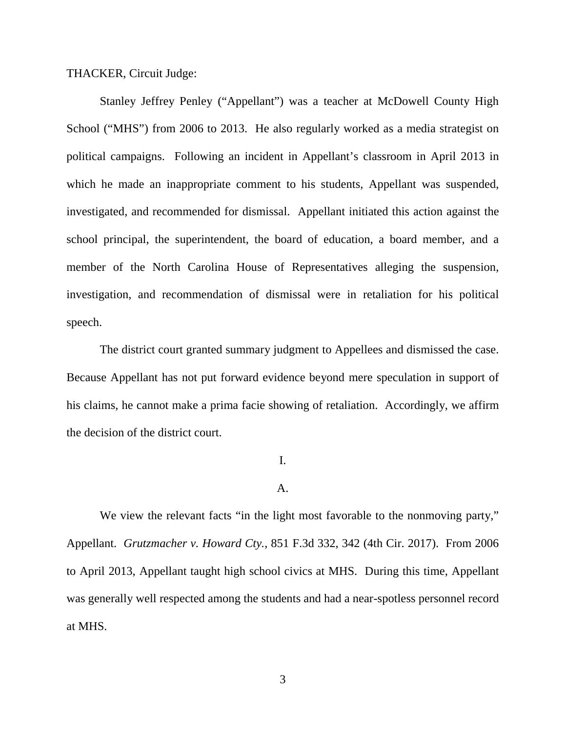THACKER, Circuit Judge:

Stanley Jeffrey Penley ("Appellant") was a teacher at McDowell County High School ("MHS") from 2006 to 2013. He also regularly worked as a media strategist on political campaigns. Following an incident in Appellant's classroom in April 2013 in which he made an inappropriate comment to his students, Appellant was suspended, investigated, and recommended for dismissal. Appellant initiated this action against the school principal, the superintendent, the board of education, a board member, and a member of the North Carolina House of Representatives alleging the suspension, investigation, and recommendation of dismissal were in retaliation for his political speech.

The district court granted summary judgment to Appellees and dismissed the case. Because Appellant has not put forward evidence beyond mere speculation in support of his claims, he cannot make a prima facie showing of retaliation. Accordingly, we affirm the decision of the district court.

# I.

## A.

We view the relevant facts "in the light most favorable to the nonmoving party," Appellant. *Grutzmacher v. Howard Cty.*, 851 F.3d 332, 342 (4th Cir. 2017). From 2006 to April 2013, Appellant taught high school civics at MHS. During this time, Appellant was generally well respected among the students and had a near-spotless personnel record at MHS.

3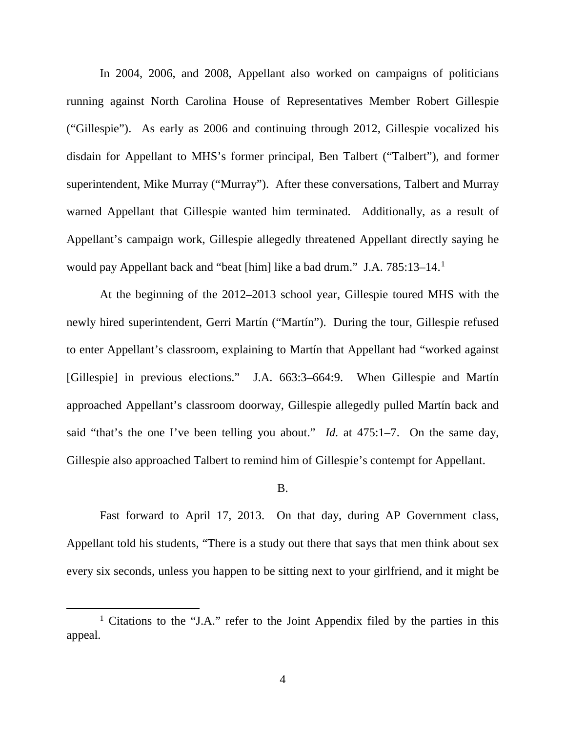In 2004, 2006, and 2008, Appellant also worked on campaigns of politicians running against North Carolina House of Representatives Member Robert Gillespie ("Gillespie"). As early as 2006 and continuing through 2012, Gillespie vocalized his disdain for Appellant to MHS's former principal, Ben Talbert ("Talbert"), and former superintendent, Mike Murray ("Murray"). After these conversations, Talbert and Murray warned Appellant that Gillespie wanted him terminated. Additionally, as a result of Appellant's campaign work, Gillespie allegedly threatened Appellant directly saying he would pay Appellant back and "beat [him] like a bad drum." J.A. 785:[1](#page-3-0)3–14.<sup>1</sup>

At the beginning of the 2012–2013 school year, Gillespie toured MHS with the newly hired superintendent, Gerri Martín ("Martín"). During the tour, Gillespie refused to enter Appellant's classroom, explaining to Martín that Appellant had "worked against [Gillespie] in previous elections." J.A. 663:3–664:9. When Gillespie and Martín approached Appellant's classroom doorway, Gillespie allegedly pulled Martín back and said "that's the one I've been telling you about." *Id.* at 475:1–7. On the same day, Gillespie also approached Talbert to remind him of Gillespie's contempt for Appellant.

### B.

Fast forward to April 17, 2013. On that day, during AP Government class, Appellant told his students, "There is a study out there that says that men think about sex every six seconds, unless you happen to be sitting next to your girlfriend, and it might be

<span id="page-3-0"></span><sup>1</sup> Citations to the "J.A." refer to the Joint Appendix filed by the parties in this appeal.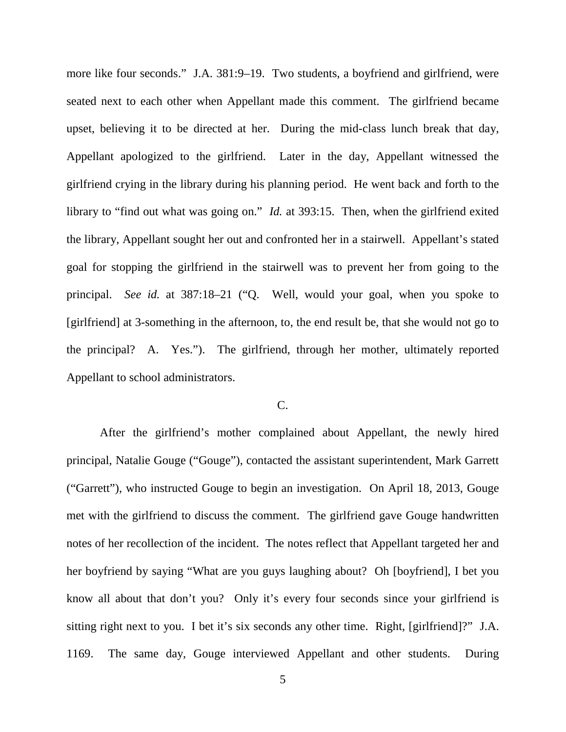more like four seconds." J.A. 381:9–19. Two students, a boyfriend and girlfriend, were seated next to each other when Appellant made this comment. The girlfriend became upset, believing it to be directed at her. During the mid-class lunch break that day, Appellant apologized to the girlfriend. Later in the day, Appellant witnessed the girlfriend crying in the library during his planning period. He went back and forth to the library to "find out what was going on." *Id.* at 393:15. Then, when the girlfriend exited the library, Appellant sought her out and confronted her in a stairwell. Appellant's stated goal for stopping the girlfriend in the stairwell was to prevent her from going to the principal. *See id.* at 387:18–21 ("Q. Well, would your goal, when you spoke to [girlfriend] at 3-something in the afternoon, to, the end result be, that she would not go to the principal? A. Yes."). The girlfriend, through her mother, ultimately reported Appellant to school administrators.

## $C_{\cdot}$

After the girlfriend's mother complained about Appellant, the newly hired principal, Natalie Gouge ("Gouge"), contacted the assistant superintendent, Mark Garrett ("Garrett"), who instructed Gouge to begin an investigation. On April 18, 2013, Gouge met with the girlfriend to discuss the comment. The girlfriend gave Gouge handwritten notes of her recollection of the incident. The notes reflect that Appellant targeted her and her boyfriend by saying "What are you guys laughing about? Oh [boyfriend], I bet you know all about that don't you? Only it's every four seconds since your girlfriend is sitting right next to you. I bet it's six seconds any other time. Right, [girlfriend]?" J.A. 1169. The same day, Gouge interviewed Appellant and other students. During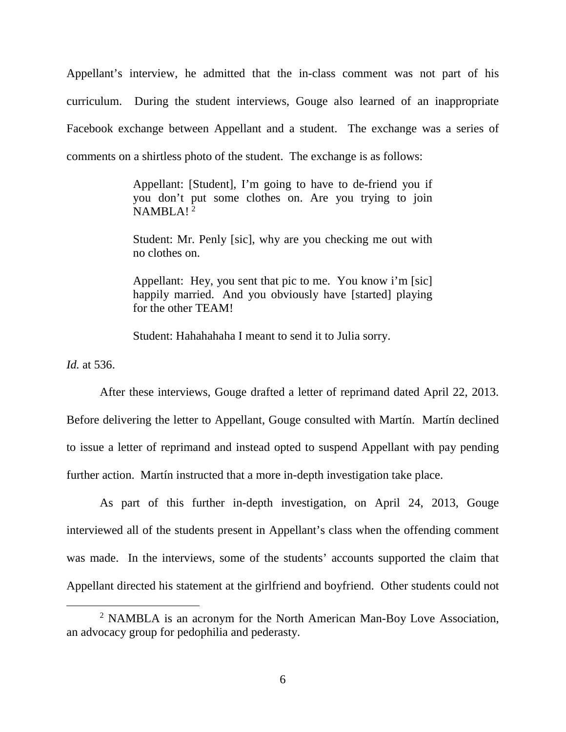Appellant's interview, he admitted that the in-class comment was not part of his curriculum. During the student interviews, Gouge also learned of an inappropriate Facebook exchange between Appellant and a student. The exchange was a series of comments on a shirtless photo of the student. The exchange is as follows:

> Appellant: [Student], I'm going to have to de-friend you if you don't put some clothes on. Are you trying to join  $NAMBLA!^2$  $NAMBLA!^2$

> Student: Mr. Penly [sic], why are you checking me out with no clothes on.

> Appellant: Hey, you sent that pic to me. You know i'm [sic] happily married. And you obviously have [started] playing for the other TEAM!

Student: Hahahahaha I meant to send it to Julia sorry.

*Id.* at 536.

After these interviews, Gouge drafted a letter of reprimand dated April 22, 2013. Before delivering the letter to Appellant, Gouge consulted with Martín. Martín declined to issue a letter of reprimand and instead opted to suspend Appellant with pay pending further action. Martín instructed that a more in-depth investigation take place.

As part of this further in-depth investigation, on April 24, 2013, Gouge interviewed all of the students present in Appellant's class when the offending comment was made. In the interviews, some of the students' accounts supported the claim that Appellant directed his statement at the girlfriend and boyfriend. Other students could not

<span id="page-5-0"></span><sup>&</sup>lt;sup>2</sup> NAMBLA is an acronym for the North American Man-Boy Love Association, an advocacy group for pedophilia and pederasty.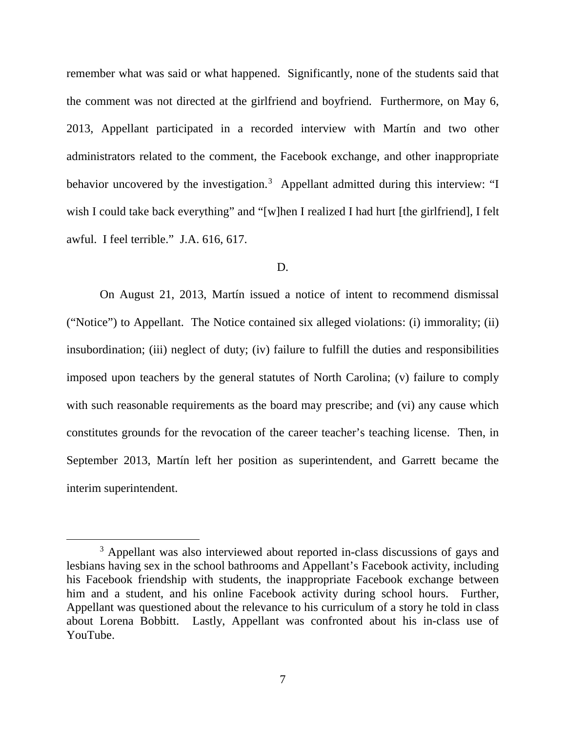remember what was said or what happened. Significantly, none of the students said that the comment was not directed at the girlfriend and boyfriend. Furthermore, on May 6, 2013, Appellant participated in a recorded interview with Martín and two other administrators related to the comment, the Facebook exchange, and other inappropriate behavior uncovered by the investigation.<sup>[3](#page-6-0)</sup> Appellant admitted during this interview: "I wish I could take back everything" and "[w]hen I realized I had hurt [the girlfriend], I felt awful. I feel terrible." J.A. 616, 617.

#### D.

On August 21, 2013, Martín issued a notice of intent to recommend dismissal ("Notice") to Appellant. The Notice contained six alleged violations: (i) immorality; (ii) insubordination; (iii) neglect of duty; (iv) failure to fulfill the duties and responsibilities imposed upon teachers by the general statutes of North Carolina; (v) failure to comply with such reasonable requirements as the board may prescribe; and (vi) any cause which constitutes grounds for the revocation of the career teacher's teaching license. Then, in September 2013, Martín left her position as superintendent, and Garrett became the interim superintendent.

<span id="page-6-0"></span><sup>&</sup>lt;sup>3</sup> Appellant was also interviewed about reported in-class discussions of gays and lesbians having sex in the school bathrooms and Appellant's Facebook activity, including his Facebook friendship with students, the inappropriate Facebook exchange between him and a student, and his online Facebook activity during school hours. Further, Appellant was questioned about the relevance to his curriculum of a story he told in class about Lorena Bobbitt. Lastly, Appellant was confronted about his in-class use of YouTube.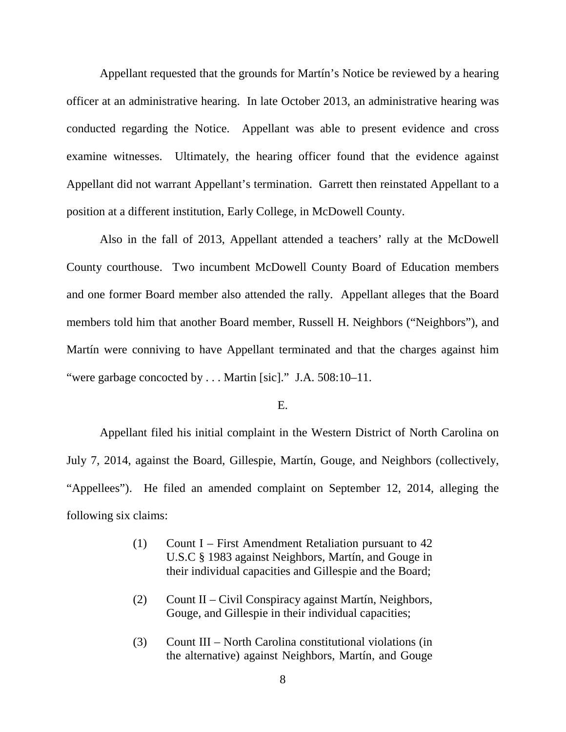Appellant requested that the grounds for Martín's Notice be reviewed by a hearing officer at an administrative hearing. In late October 2013, an administrative hearing was conducted regarding the Notice. Appellant was able to present evidence and cross examine witnesses. Ultimately, the hearing officer found that the evidence against Appellant did not warrant Appellant's termination. Garrett then reinstated Appellant to a position at a different institution, Early College, in McDowell County.

Also in the fall of 2013, Appellant attended a teachers' rally at the McDowell County courthouse. Two incumbent McDowell County Board of Education members and one former Board member also attended the rally. Appellant alleges that the Board members told him that another Board member, Russell H. Neighbors ("Neighbors"), and Martín were conniving to have Appellant terminated and that the charges against him "were garbage concocted by . . . Martin [sic]." J.A. 508:10–11.

### E.

Appellant filed his initial complaint in the Western District of North Carolina on July 7, 2014, against the Board, Gillespie, Martín, Gouge, and Neighbors (collectively, "Appellees"). He filed an amended complaint on September 12, 2014, alleging the following six claims:

- (1) Count I First Amendment Retaliation pursuant to 42 U.S.C § 1983 against Neighbors, Martín, and Gouge in their individual capacities and Gillespie and the Board;
- (2) Count II Civil Conspiracy against Martín, Neighbors, Gouge, and Gillespie in their individual capacities;
- (3) Count III North Carolina constitutional violations (in the alternative) against Neighbors, Martín, and Gouge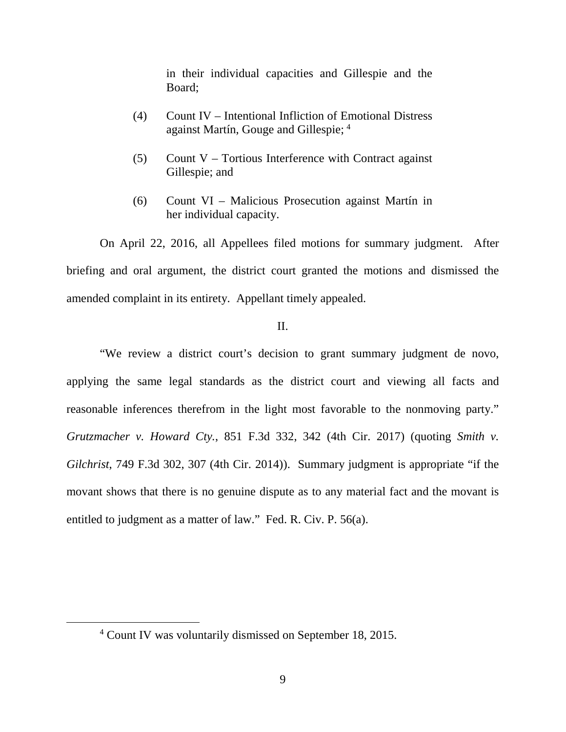in their individual capacities and Gillespie and the Board;

- (4) Count IV Intentional Infliction of Emotional Distress against Martín, Gouge and Gillespie; [4](#page-8-0)
- (5) Count V Tortious Interference with Contract against Gillespie; and
- (6) Count VI Malicious Prosecution against Martín in her individual capacity.

On April 22, 2016, all Appellees filed motions for summary judgment. After briefing and oral argument, the district court granted the motions and dismissed the amended complaint in its entirety. Appellant timely appealed.

## II.

"We review a district court's decision to grant summary judgment de novo, applying the same legal standards as the district court and viewing all facts and reasonable inferences therefrom in the light most favorable to the nonmoving party." *Grutzmacher v. Howard Cty.*, 851 F.3d 332, 342 (4th Cir. 2017) (quoting *Smith v. Gilchrist*, 749 F.3d 302, 307 (4th Cir. 2014)). Summary judgment is appropriate "if the movant shows that there is no genuine dispute as to any material fact and the movant is entitled to judgment as a matter of law." Fed. R. Civ. P. 56(a).

<span id="page-8-0"></span><sup>4</sup> Count IV was voluntarily dismissed on September 18, 2015.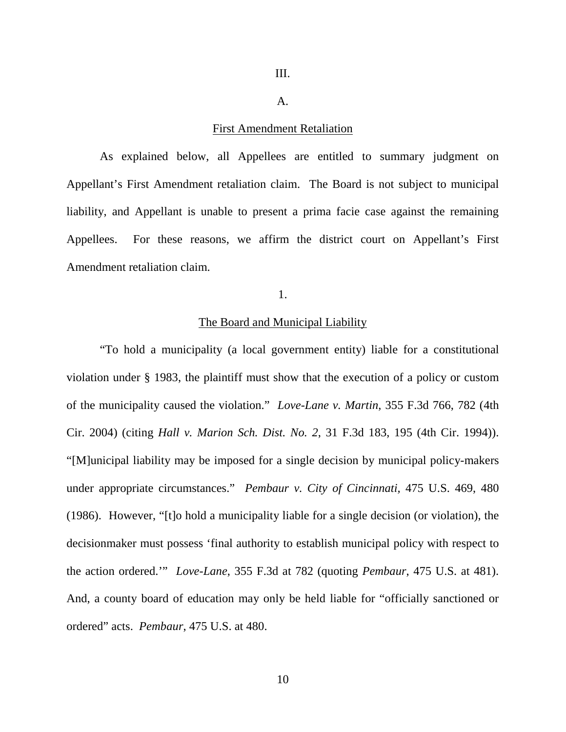### A.

### First Amendment Retaliation

As explained below, all Appellees are entitled to summary judgment on Appellant's First Amendment retaliation claim. The Board is not subject to municipal liability, and Appellant is unable to present a prima facie case against the remaining Appellees. For these reasons, we affirm the district court on Appellant's First Amendment retaliation claim.

1.

## The Board and Municipal Liability

"To hold a municipality (a local government entity) liable for a constitutional violation under § 1983, the plaintiff must show that the execution of a policy or custom of the municipality caused the violation." *Love-Lane v. Martin*, 355 F.3d 766, 782 (4th Cir. 2004) (citing *Hall v. Marion Sch. Dist. No. 2*, 31 F.3d 183, 195 (4th Cir. 1994)). "[M]unicipal liability may be imposed for a single decision by municipal policy-makers under appropriate circumstances." *Pembaur v. City of Cincinnati,* 475 U.S. 469, 480 (1986). However, "[t]o hold a municipality liable for a single decision (or violation), the decisionmaker must possess 'final authority to establish municipal policy with respect to the action ordered.'" *Love-Lane*, 355 F.3d at 782 (quoting *Pembaur*, 475 U.S. at 481). And, a county board of education may only be held liable for "officially sanctioned or ordered" acts. *Pembaur*, 475 U.S. at 480.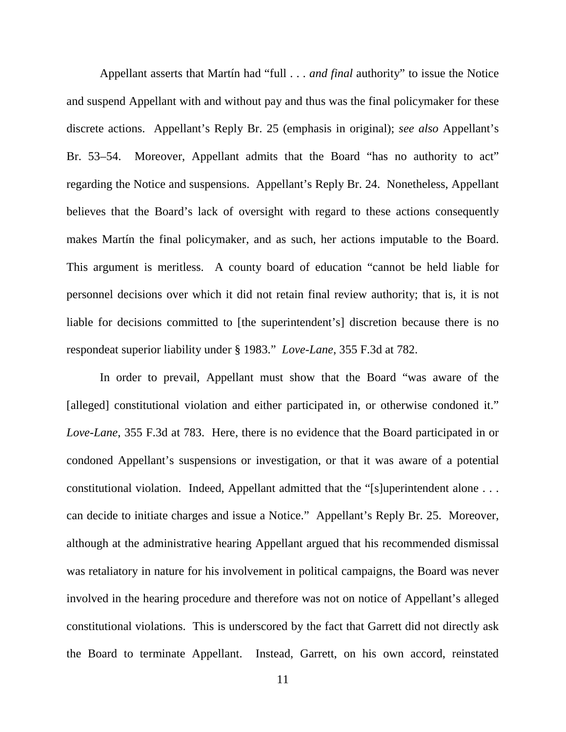Appellant asserts that Martín had "full . . . *and final* authority" to issue the Notice and suspend Appellant with and without pay and thus was the final policymaker for these discrete actions. Appellant's Reply Br. 25 (emphasis in original); *see also* Appellant's Br. 53–54. Moreover, Appellant admits that the Board "has no authority to act" regarding the Notice and suspensions. Appellant's Reply Br. 24. Nonetheless, Appellant believes that the Board's lack of oversight with regard to these actions consequently makes Martín the final policymaker, and as such, her actions imputable to the Board. This argument is meritless. A county board of education "cannot be held liable for personnel decisions over which it did not retain final review authority; that is, it is not liable for decisions committed to [the superintendent's] discretion because there is no respondeat superior liability under § 1983." *Love-Lane*, 355 F.3d at 782.

In order to prevail, Appellant must show that the Board "was aware of the [alleged] constitutional violation and either participated in, or otherwise condoned it." *Love-Lane*, 355 F.3d at 783.Here, there is no evidence that the Board participated in or condoned Appellant's suspensions or investigation, or that it was aware of a potential constitutional violation. Indeed, Appellant admitted that the "[s]uperintendent alone . . . can decide to initiate charges and issue a Notice." Appellant's Reply Br. 25. Moreover, although at the administrative hearing Appellant argued that his recommended dismissal was retaliatory in nature for his involvement in political campaigns, the Board was never involved in the hearing procedure and therefore was not on notice of Appellant's alleged constitutional violations. This is underscored by the fact that Garrett did not directly ask the Board to terminate Appellant. Instead, Garrett, on his own accord, reinstated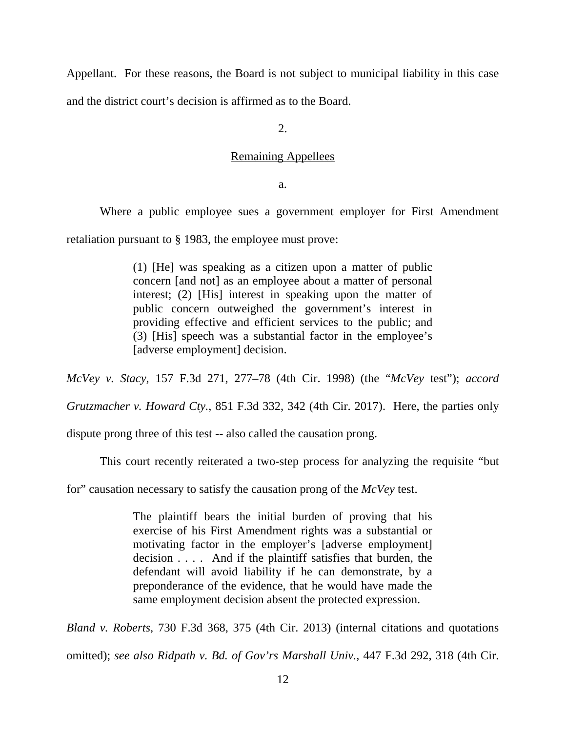Appellant. For these reasons, the Board is not subject to municipal liability in this case and the district court's decision is affirmed as to the Board.

 $2<sub>1</sub>$ 

### Remaining Appellees

a.

Where a public employee sues a government employer for First Amendment

retaliation pursuant to § 1983, the employee must prove:

(1) [He] was speaking as a citizen upon a matter of public concern [and not] as an employee about a matter of personal interest; (2) [His] interest in speaking upon the matter of public concern outweighed the government's interest in providing effective and efficient services to the public; and (3) [His] speech was a substantial factor in the employee's [adverse employment] decision.

*McVey v. Stacy*, 157 F.3d 271, 277–78 (4th Cir. 1998) (the "*McVey* test"); *accord* 

*Grutzmacher v. Howard Cty.*, 851 F.3d 332, 342 (4th Cir. 2017). Here, the parties only

dispute prong three of this test -- also called the causation prong.

This court recently reiterated a two-step process for analyzing the requisite "but

for" causation necessary to satisfy the causation prong of the *McVey* test.

The plaintiff bears the initial burden of proving that his exercise of his First Amendment rights was a substantial or motivating factor in the employer's [adverse employment] decision . . . . And if the plaintiff satisfies that burden, the defendant will avoid liability if he can demonstrate, by a preponderance of the evidence, that he would have made the same employment decision absent the protected expression.

*Bland v. Roberts*, 730 F.3d 368, 375 (4th Cir. 2013) (internal citations and quotations omitted); *see also Ridpath v. Bd. of Gov'rs Marshall Univ.*, 447 F.3d 292, 318 (4th Cir.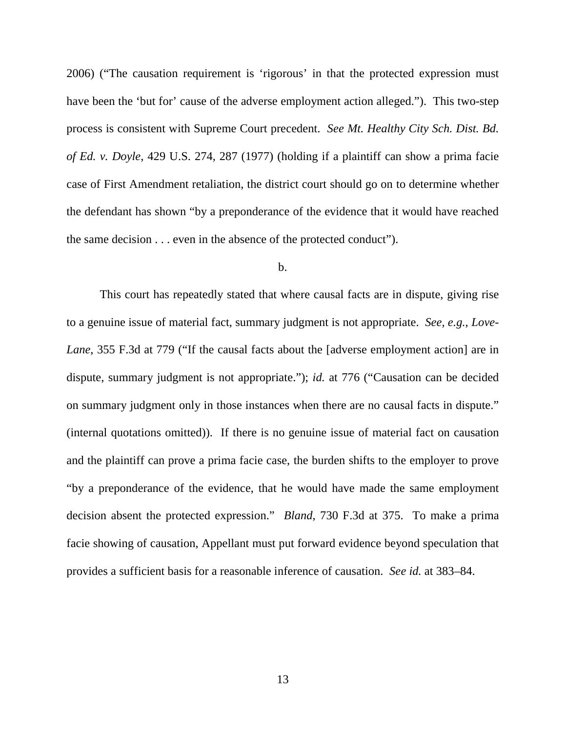2006) ("The causation requirement is 'rigorous' in that the protected expression must have been the 'but for' cause of the adverse employment action alleged."). This two-step process is consistent with Supreme Court precedent. *See Mt. Healthy City Sch. Dist. Bd. of Ed. v. Doyle*, 429 U.S. 274, 287 (1977) (holding if a plaintiff can show a prima facie case of First Amendment retaliation, the district court should go on to determine whether the defendant has shown "by a preponderance of the evidence that it would have reached the same decision . . . even in the absence of the protected conduct").

## b.

This court has repeatedly stated that where causal facts are in dispute, giving rise to a genuine issue of material fact, summary judgment is not appropriate. *See, e.g.*, *Love-Lane*, 355 F.3d at 779 ("If the causal facts about the [adverse employment action] are in dispute, summary judgment is not appropriate."); *id.* at 776 ("Causation can be decided on summary judgment only in those instances when there are no causal facts in dispute." (internal quotations omitted)). If there is no genuine issue of material fact on causation and the plaintiff can prove a prima facie case, the burden shifts to the employer to prove "by a preponderance of the evidence, that he would have made the same employment decision absent the protected expression." *Bland*, 730 F.3d at 375. To make a prima facie showing of causation, Appellant must put forward evidence beyond speculation that provides a sufficient basis for a reasonable inference of causation. *See id.* at 383–84.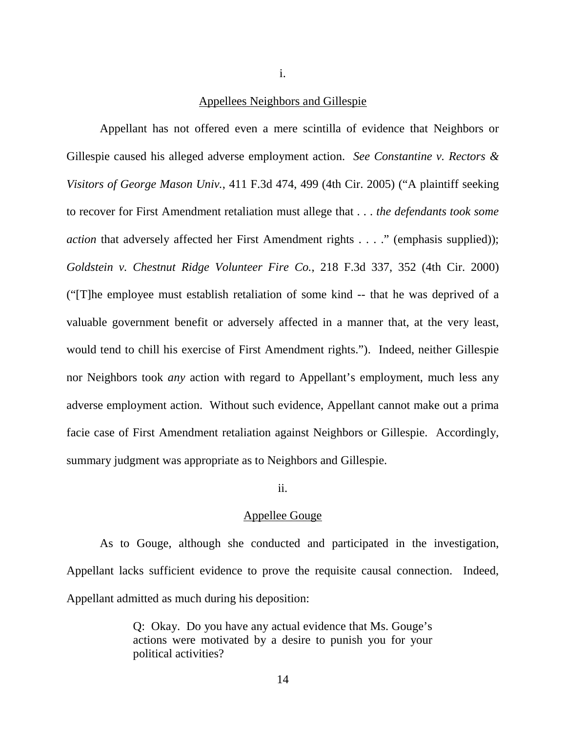i.

## Appellees Neighbors and Gillespie

Appellant has not offered even a mere scintilla of evidence that Neighbors or Gillespie caused his alleged adverse employment action. *See Constantine v. Rectors & Visitors of George Mason Univ.*, 411 F.3d 474, 499 (4th Cir. 2005) ("A plaintiff seeking to recover for First Amendment retaliation must allege that . . . *the defendants took some action* that adversely affected her First Amendment rights . . . ." (emphasis supplied)); *Goldstein v. Chestnut Ridge Volunteer Fire Co.*, 218 F.3d 337, 352 (4th Cir. 2000) ("[T]he employee must establish retaliation of some kind -- that he was deprived of a valuable government benefit or adversely affected in a manner that, at the very least, would tend to chill his exercise of First Amendment rights."). Indeed, neither Gillespie nor Neighbors took *any* action with regard to Appellant's employment, much less any adverse employment action. Without such evidence, Appellant cannot make out a prima facie case of First Amendment retaliation against Neighbors or Gillespie. Accordingly, summary judgment was appropriate as to Neighbors and Gillespie.

## ii.

### Appellee Gouge

As to Gouge, although she conducted and participated in the investigation, Appellant lacks sufficient evidence to prove the requisite causal connection. Indeed, Appellant admitted as much during his deposition:

> Q: Okay. Do you have any actual evidence that Ms. Gouge's actions were motivated by a desire to punish you for your political activities?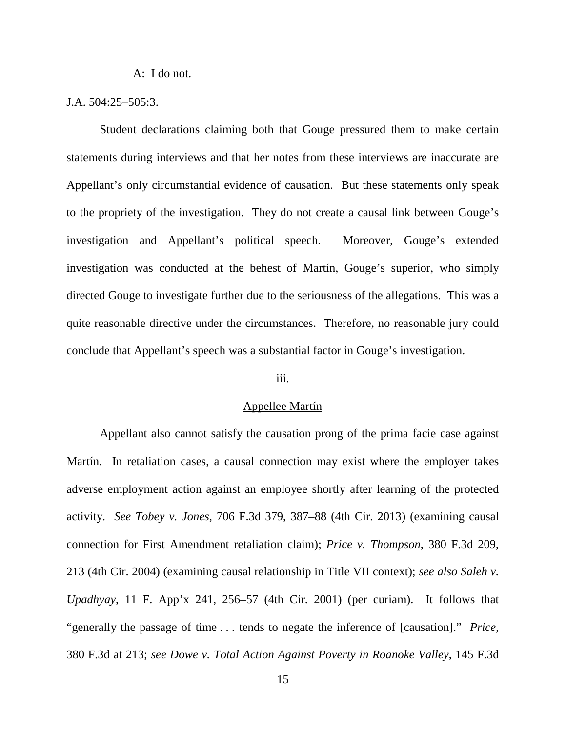A: I do not.

## J.A. 504:25–505:3.

Student declarations claiming both that Gouge pressured them to make certain statements during interviews and that her notes from these interviews are inaccurate are Appellant's only circumstantial evidence of causation. But these statements only speak to the propriety of the investigation. They do not create a causal link between Gouge's investigation and Appellant's political speech. Moreover, Gouge's extended investigation was conducted at the behest of Martín, Gouge's superior, who simply directed Gouge to investigate further due to the seriousness of the allegations. This was a quite reasonable directive under the circumstances. Therefore, no reasonable jury could conclude that Appellant's speech was a substantial factor in Gouge's investigation.

### iii.

### Appellee Martín

Appellant also cannot satisfy the causation prong of the prima facie case against Martín. In retaliation cases, a causal connection may exist where the employer takes adverse employment action against an employee shortly after learning of the protected activity. *See Tobey v. Jones*, 706 F.3d 379, 387–88 (4th Cir. 2013) (examining causal connection for First Amendment retaliation claim); *Price v. Thompson*, 380 F.3d 209, 213 (4th Cir. 2004) (examining causal relationship in Title VII context); *see also Saleh v. Upadhyay*, 11 F. App'x 241, 256–57 (4th Cir. 2001) (per curiam). It follows that "generally the passage of time . . . tends to negate the inference of [causation]." *Price*, 380 F.3d at 213; *see Dowe v. Total Action Against Poverty in Roanoke Valley*, 145 F.3d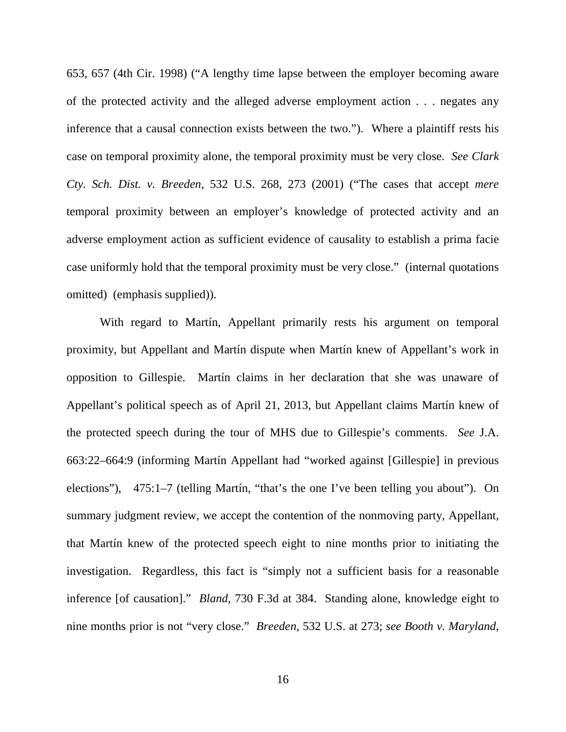653, 657 (4th Cir. 1998) ("A lengthy time lapse between the employer becoming aware of the protected activity and the alleged adverse employment action . . . negates any inference that a causal connection exists between the two."). Where a plaintiff rests his case on temporal proximity alone, the temporal proximity must be very close. *See Clark Cty. Sch. Dist. v. Breeden*, 532 U.S. 268, 273 (2001) ("The cases that accept *mere*  temporal proximity between an employer's knowledge of protected activity and an adverse employment action as sufficient evidence of causality to establish a prima facie case uniformly hold that the temporal proximity must be very close." (internal quotations omitted) (emphasis supplied)).

With regard to Martín, Appellant primarily rests his argument on temporal proximity, but Appellant and Martín dispute when Martín knew of Appellant's work in opposition to Gillespie. Martín claims in her declaration that she was unaware of Appellant's political speech as of April 21, 2013, but Appellant claims Martín knew of the protected speech during the tour of MHS due to Gillespie's comments. *See* J.A. 663:22–664:9 (informing Martín Appellant had "worked against [Gillespie] in previous elections"), 475:1–7 (telling Martín, "that's the one I've been telling you about"). On summary judgment review, we accept the contention of the nonmoving party, Appellant, that Martín knew of the protected speech eight to nine months prior to initiating the investigation. Regardless, this fact is "simply not a sufficient basis for a reasonable inference [of causation]." *Bland*, 730 F.3d at 384. Standing alone, knowledge eight to nine months prior is not "very close." *Breeden*, 532 U.S. at 273; *see Booth v. Maryland*,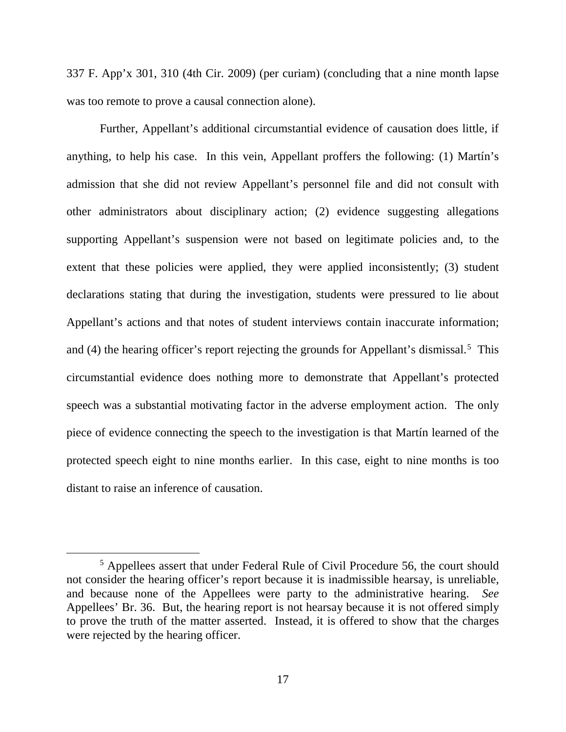337 F. App'x 301, 310 (4th Cir. 2009) (per curiam) (concluding that a nine month lapse was too remote to prove a causal connection alone).

Further, Appellant's additional circumstantial evidence of causation does little, if anything, to help his case. In this vein, Appellant proffers the following: (1) Martín's admission that she did not review Appellant's personnel file and did not consult with other administrators about disciplinary action; (2) evidence suggesting allegations supporting Appellant's suspension were not based on legitimate policies and, to the extent that these policies were applied, they were applied inconsistently; (3) student declarations stating that during the investigation, students were pressured to lie about Appellant's actions and that notes of student interviews contain inaccurate information; and  $(4)$  the hearing officer's report rejecting the grounds for Appellant's dismissal.<sup>[5](#page-16-0)</sup> This circumstantial evidence does nothing more to demonstrate that Appellant's protected speech was a substantial motivating factor in the adverse employment action. The only piece of evidence connecting the speech to the investigation is that Martín learned of the protected speech eight to nine months earlier. In this case, eight to nine months is too distant to raise an inference of causation.

<span id="page-16-0"></span><sup>5</sup> Appellees assert that under Federal Rule of Civil Procedure 56, the court should not consider the hearing officer's report because it is inadmissible hearsay, is unreliable, and because none of the Appellees were party to the administrative hearing. *See*  Appellees' Br. 36. But, the hearing report is not hearsay because it is not offered simply to prove the truth of the matter asserted. Instead, it is offered to show that the charges were rejected by the hearing officer.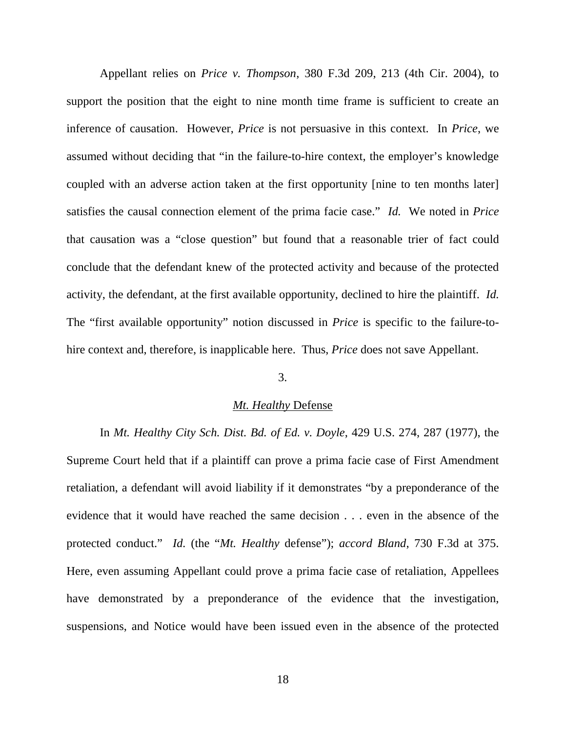Appellant relies on *Price v. Thompson*, 380 F.3d 209, 213 (4th Cir. 2004), to support the position that the eight to nine month time frame is sufficient to create an inference of causation. However, *Price* is not persuasive in this context. In *Price*, we assumed without deciding that "in the failure-to-hire context, the employer's knowledge coupled with an adverse action taken at the first opportunity [nine to ten months later] satisfies the causal connection element of the prima facie case." *Id.* We noted in *Price*  that causation was a "close question" but found that a reasonable trier of fact could conclude that the defendant knew of the protected activity and because of the protected activity, the defendant, at the first available opportunity, declined to hire the plaintiff. *Id.*  The "first available opportunity" notion discussed in *Price* is specific to the failure-tohire context and, therefore, is inapplicable here. Thus, *Price* does not save Appellant.

## 3.

#### *Mt. Healthy* Defense

In *Mt. Healthy City Sch. Dist. Bd. of Ed. v. Doyle*, 429 U.S. 274, 287 (1977), the Supreme Court held that if a plaintiff can prove a prima facie case of First Amendment retaliation, a defendant will avoid liability if it demonstrates "by a preponderance of the evidence that it would have reached the same decision . . . even in the absence of the protected conduct." *Id.* (the "*Mt. Healthy* defense"); *accord Bland*, 730 F.3d at 375. Here, even assuming Appellant could prove a prima facie case of retaliation, Appellees have demonstrated by a preponderance of the evidence that the investigation, suspensions, and Notice would have been issued even in the absence of the protected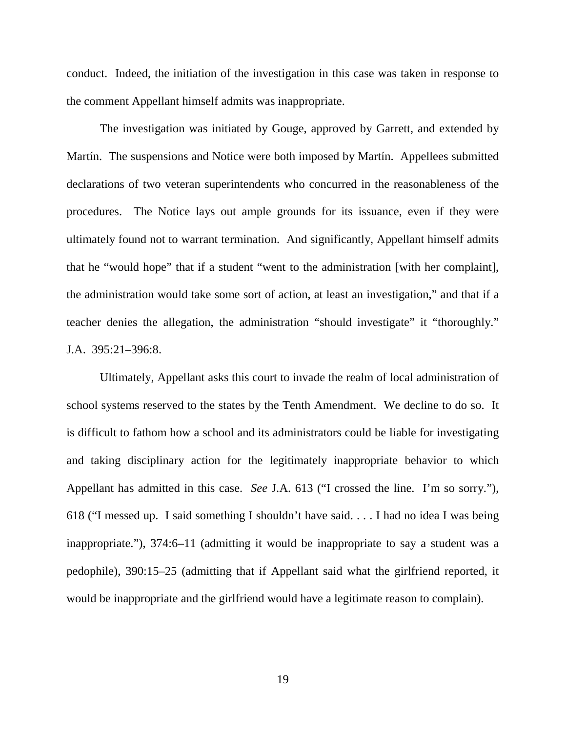conduct. Indeed, the initiation of the investigation in this case was taken in response to the comment Appellant himself admits was inappropriate.

The investigation was initiated by Gouge, approved by Garrett, and extended by Martín. The suspensions and Notice were both imposed by Martín. Appellees submitted declarations of two veteran superintendents who concurred in the reasonableness of the procedures. The Notice lays out ample grounds for its issuance, even if they were ultimately found not to warrant termination. And significantly, Appellant himself admits that he "would hope" that if a student "went to the administration [with her complaint], the administration would take some sort of action, at least an investigation," and that if a teacher denies the allegation, the administration "should investigate" it "thoroughly." J.A. 395:21–396:8.

Ultimately, Appellant asks this court to invade the realm of local administration of school systems reserved to the states by the Tenth Amendment. We decline to do so. It is difficult to fathom how a school and its administrators could be liable for investigating and taking disciplinary action for the legitimately inappropriate behavior to which Appellant has admitted in this case. *See* J.A. 613 ("I crossed the line. I'm so sorry."), 618 ("I messed up. I said something I shouldn't have said. . . . I had no idea I was being inappropriate."), 374:6–11 (admitting it would be inappropriate to say a student was a pedophile), 390:15–25 (admitting that if Appellant said what the girlfriend reported, it would be inappropriate and the girlfriend would have a legitimate reason to complain).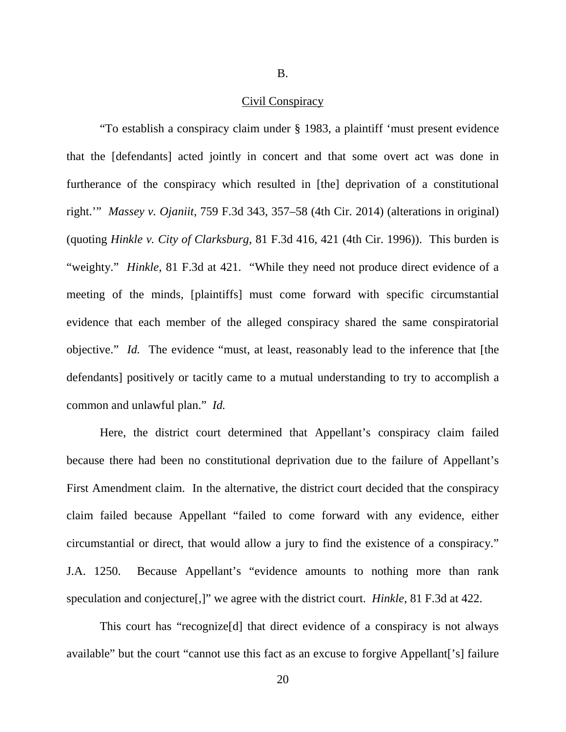B.

### Civil Conspiracy

"To establish a conspiracy claim under § 1983, a plaintiff 'must present evidence that the [defendants] acted jointly in concert and that some overt act was done in furtherance of the conspiracy which resulted in [the] deprivation of a constitutional right.'" *Massey v. Ojaniit*, 759 F.3d 343, 357–58 (4th Cir. 2014) (alterations in original) (quoting *Hinkle v. City of Clarksburg*, 81 F.3d 416, 421 (4th Cir. 1996)). This burden is "weighty." *Hinkle*, 81 F.3d at 421. "While they need not produce direct evidence of a meeting of the minds, [plaintiffs] must come forward with specific circumstantial evidence that each member of the alleged conspiracy shared the same conspiratorial objective." *Id.* The evidence "must, at least, reasonably lead to the inference that [the defendants] positively or tacitly came to a mutual understanding to try to accomplish a common and unlawful plan." *Id.* 

Here, the district court determined that Appellant's conspiracy claim failed because there had been no constitutional deprivation due to the failure of Appellant's First Amendment claim. In the alternative, the district court decided that the conspiracy claim failed because Appellant "failed to come forward with any evidence, either circumstantial or direct, that would allow a jury to find the existence of a conspiracy." J.A. 1250. Because Appellant's "evidence amounts to nothing more than rank speculation and conjecture[,]" we agree with the district court. *Hinkle*, 81 F.3d at 422.

This court has "recognize[d] that direct evidence of a conspiracy is not always available" but the court "cannot use this fact as an excuse to forgive Appellant['s] failure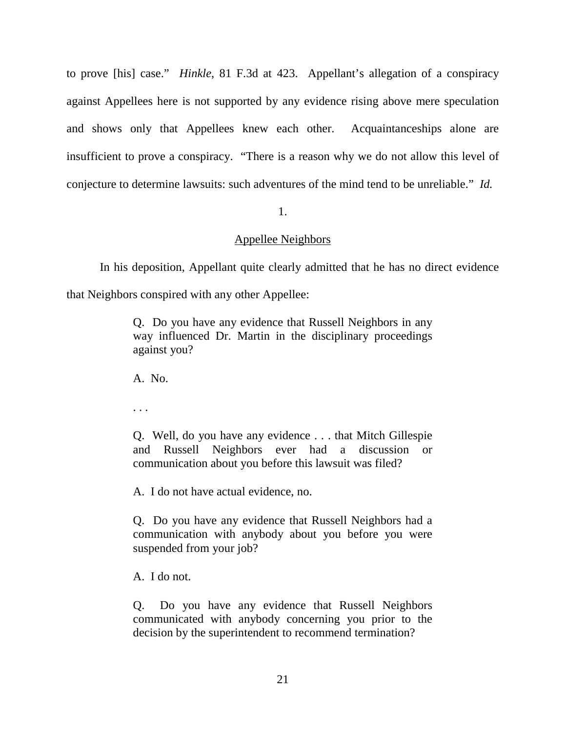to prove [his] case." *Hinkle*, 81 F.3d at 423. Appellant's allegation of a conspiracy against Appellees here is not supported by any evidence rising above mere speculation and shows only that Appellees knew each other. Acquaintanceships alone are insufficient to prove a conspiracy. "There is a reason why we do not allow this level of conjecture to determine lawsuits: such adventures of the mind tend to be unreliable." *Id.* 

## 1.

## Appellee Neighbors

In his deposition, Appellant quite clearly admitted that he has no direct evidence

that Neighbors conspired with any other Appellee:

Q. Do you have any evidence that Russell Neighbors in any way influenced Dr. Martin in the disciplinary proceedings against you?

A. No.

. . .

Q. Well, do you have any evidence . . . that Mitch Gillespie and Russell Neighbors ever had a discussion or communication about you before this lawsuit was filed?

A. I do not have actual evidence, no.

Q. Do you have any evidence that Russell Neighbors had a communication with anybody about you before you were suspended from your job?

A. I do not.

Q. Do you have any evidence that Russell Neighbors communicated with anybody concerning you prior to the decision by the superintendent to recommend termination?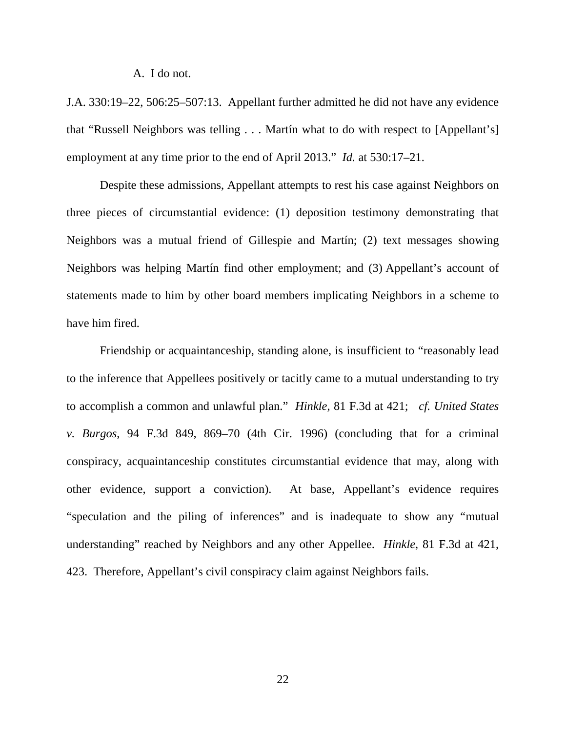#### A. I do not.

J.A. 330:19–22, 506:25–507:13. Appellant further admitted he did not have any evidence that "Russell Neighbors was telling . . . Martín what to do with respect to [Appellant's] employment at any time prior to the end of April 2013." *Id.* at 530:17–21.

Despite these admissions, Appellant attempts to rest his case against Neighbors on three pieces of circumstantial evidence: (1) deposition testimony demonstrating that Neighbors was a mutual friend of Gillespie and Martín; (2) text messages showing Neighbors was helping Martín find other employment; and (3) Appellant's account of statements made to him by other board members implicating Neighbors in a scheme to have him fired.

Friendship or acquaintanceship, standing alone, is insufficient to "reasonably lead to the inference that Appellees positively or tacitly came to a mutual understanding to try to accomplish a common and unlawful plan." *Hinkle*, 81 F.3d at 421; *cf. United States v. Burgos*, 94 F.3d 849, 869–70 (4th Cir. 1996) (concluding that for a criminal conspiracy, acquaintanceship constitutes circumstantial evidence that may, along with other evidence, support a conviction). At base, Appellant's evidence requires "speculation and the piling of inferences" and is inadequate to show any "mutual understanding" reached by Neighbors and any other Appellee. *Hinkle*, 81 F.3d at 421, 423. Therefore, Appellant's civil conspiracy claim against Neighbors fails.

22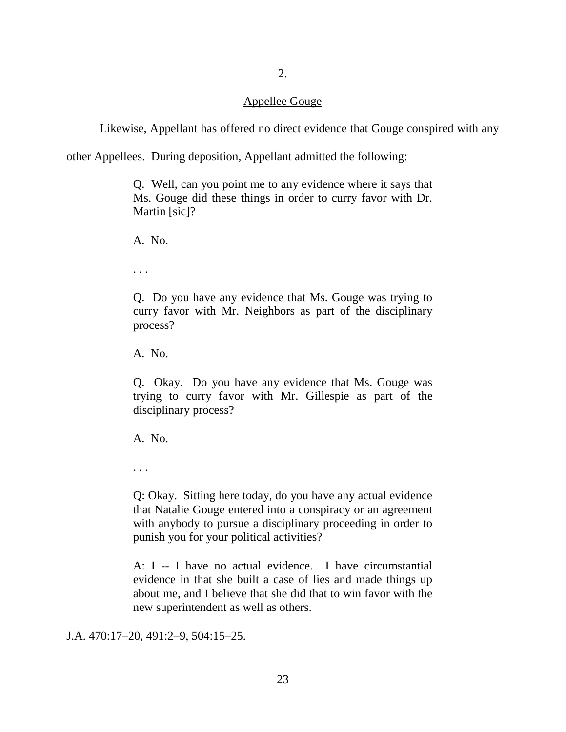## 2.

## Appellee Gouge

Likewise, Appellant has offered no direct evidence that Gouge conspired with any

other Appellees. During deposition, Appellant admitted the following:

Q. Well, can you point me to any evidence where it says that Ms. Gouge did these things in order to curry favor with Dr. Martin [sic]?

A. No.

. . .

Q. Do you have any evidence that Ms. Gouge was trying to curry favor with Mr. Neighbors as part of the disciplinary process?

A. No.

Q. Okay. Do you have any evidence that Ms. Gouge was trying to curry favor with Mr. Gillespie as part of the disciplinary process?

A. No.

. . .

Q: Okay. Sitting here today, do you have any actual evidence that Natalie Gouge entered into a conspiracy or an agreement with anybody to pursue a disciplinary proceeding in order to punish you for your political activities?

A: I -- I have no actual evidence. I have circumstantial evidence in that she built a case of lies and made things up about me, and I believe that she did that to win favor with the new superintendent as well as others.

J.A. 470:17–20, 491:2–9, 504:15–25.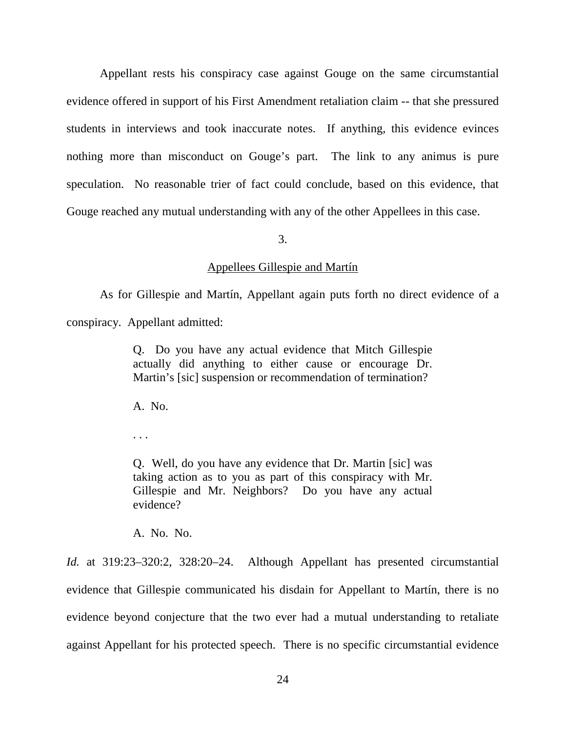Appellant rests his conspiracy case against Gouge on the same circumstantial evidence offered in support of his First Amendment retaliation claim -- that she pressured students in interviews and took inaccurate notes. If anything, this evidence evinces nothing more than misconduct on Gouge's part. The link to any animus is pure speculation. No reasonable trier of fact could conclude, based on this evidence, that Gouge reached any mutual understanding with any of the other Appellees in this case.

3.

#### Appellees Gillespie and Martín

As for Gillespie and Martín, Appellant again puts forth no direct evidence of a conspiracy. Appellant admitted:

> Q. Do you have any actual evidence that Mitch Gillespie actually did anything to either cause or encourage Dr. Martin's [sic] suspension or recommendation of termination?

A. No.

. . .

Q. Well, do you have any evidence that Dr. Martin [sic] was taking action as to you as part of this conspiracy with Mr. Gillespie and Mr. Neighbors? Do you have any actual evidence?

A. No. No.

*Id.* at 319:23–320:2, 328:20–24. Although Appellant has presented circumstantial evidence that Gillespie communicated his disdain for Appellant to Martín, there is no evidence beyond conjecture that the two ever had a mutual understanding to retaliate against Appellant for his protected speech. There is no specific circumstantial evidence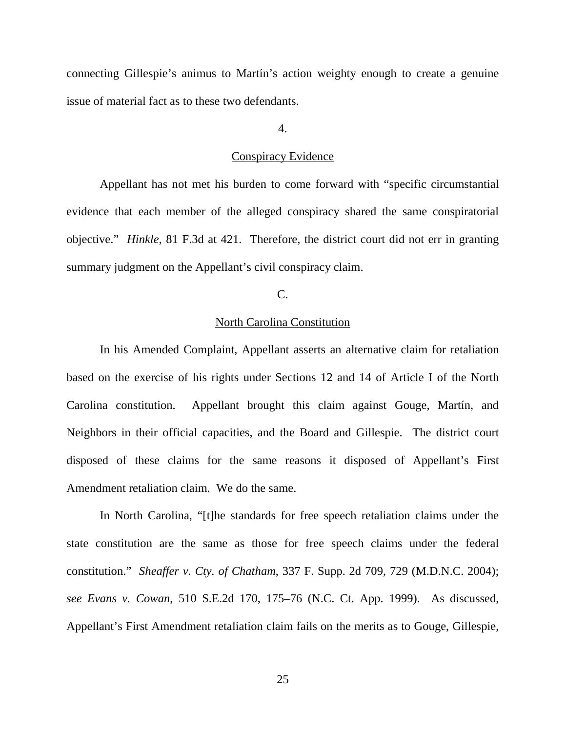connecting Gillespie's animus to Martín's action weighty enough to create a genuine issue of material fact as to these two defendants.

### 4.

### Conspiracy Evidence

Appellant has not met his burden to come forward with "specific circumstantial evidence that each member of the alleged conspiracy shared the same conspiratorial objective." *Hinkle*, 81 F.3d at 421. Therefore, the district court did not err in granting summary judgment on the Appellant's civil conspiracy claim.

## C.

## North Carolina Constitution

In his Amended Complaint, Appellant asserts an alternative claim for retaliation based on the exercise of his rights under Sections 12 and 14 of Article I of the North Carolina constitution. Appellant brought this claim against Gouge, Martín, and Neighbors in their official capacities, and the Board and Gillespie. The district court disposed of these claims for the same reasons it disposed of Appellant's First Amendment retaliation claim. We do the same.

In North Carolina, "[t]he standards for free speech retaliation claims under the state constitution are the same as those for free speech claims under the federal constitution." *Sheaffer v. Cty. of Chatham*, 337 F. Supp. 2d 709, 729 (M.D.N.C. 2004); *see Evans v. Cowan*, 510 S.E.2d 170, 175–76 (N.C. Ct. App. 1999). As discussed, Appellant's First Amendment retaliation claim fails on the merits as to Gouge, Gillespie,

25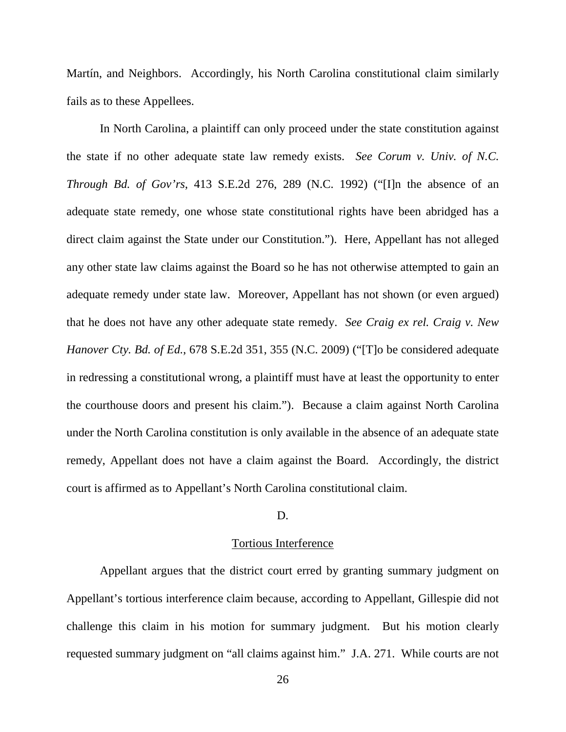Martín, and Neighbors. Accordingly, his North Carolina constitutional claim similarly fails as to these Appellees.

In North Carolina, a plaintiff can only proceed under the state constitution against the state if no other adequate state law remedy exists. *See Corum v. Univ. of N.C. Through Bd. of Gov'rs*, 413 S.E.2d 276, 289 (N.C. 1992) ("[I]n the absence of an adequate state remedy, one whose state constitutional rights have been abridged has a direct claim against the State under our Constitution."). Here, Appellant has not alleged any other state law claims against the Board so he has not otherwise attempted to gain an adequate remedy under state law. Moreover, Appellant has not shown (or even argued) that he does not have any other adequate state remedy. *See Craig ex rel. Craig v. New Hanover Cty. Bd. of Ed.*, 678 S.E.2d 351, 355 (N.C. 2009) ("[T]o be considered adequate in redressing a constitutional wrong, a plaintiff must have at least the opportunity to enter the courthouse doors and present his claim."). Because a claim against North Carolina under the North Carolina constitution is only available in the absence of an adequate state remedy, Appellant does not have a claim against the Board. Accordingly, the district court is affirmed as to Appellant's North Carolina constitutional claim.

## D.

### Tortious Interference

Appellant argues that the district court erred by granting summary judgment on Appellant's tortious interference claim because, according to Appellant, Gillespie did not challenge this claim in his motion for summary judgment. But his motion clearly requested summary judgment on "all claims against him." J.A. 271. While courts are not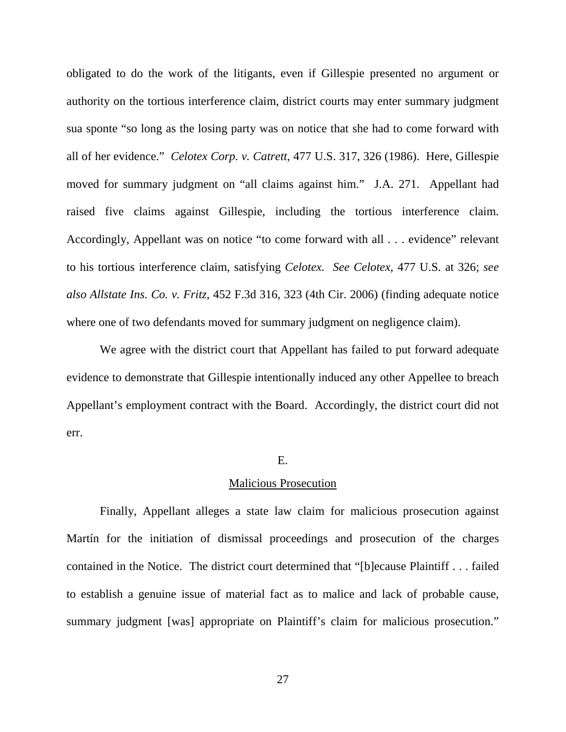obligated to do the work of the litigants, even if Gillespie presented no argument or authority on the tortious interference claim, district courts may enter summary judgment sua sponte "so long as the losing party was on notice that she had to come forward with all of her evidence." *Celotex Corp. v. Catrett*, 477 U.S. 317, 326 (1986). Here, Gillespie moved for summary judgment on "all claims against him." J.A. 271. Appellant had raised five claims against Gillespie, including the tortious interference claim. Accordingly, Appellant was on notice "to come forward with all . . . evidence" relevant to his tortious interference claim, satisfying *Celotex. See Celotex*, 477 U.S. at 326; *see also Allstate Ins. Co. v. Fritz*, 452 F.3d 316, 323 (4th Cir. 2006) (finding adequate notice where one of two defendants moved for summary judgment on negligence claim).

We agree with the district court that Appellant has failed to put forward adequate evidence to demonstrate that Gillespie intentionally induced any other Appellee to breach Appellant's employment contract with the Board. Accordingly, the district court did not err.

#### E.

### Malicious Prosecution

Finally, Appellant alleges a state law claim for malicious prosecution against Martín for the initiation of dismissal proceedings and prosecution of the charges contained in the Notice. The district court determined that "[b]ecause Plaintiff . . . failed to establish a genuine issue of material fact as to malice and lack of probable cause, summary judgment [was] appropriate on Plaintiff's claim for malicious prosecution."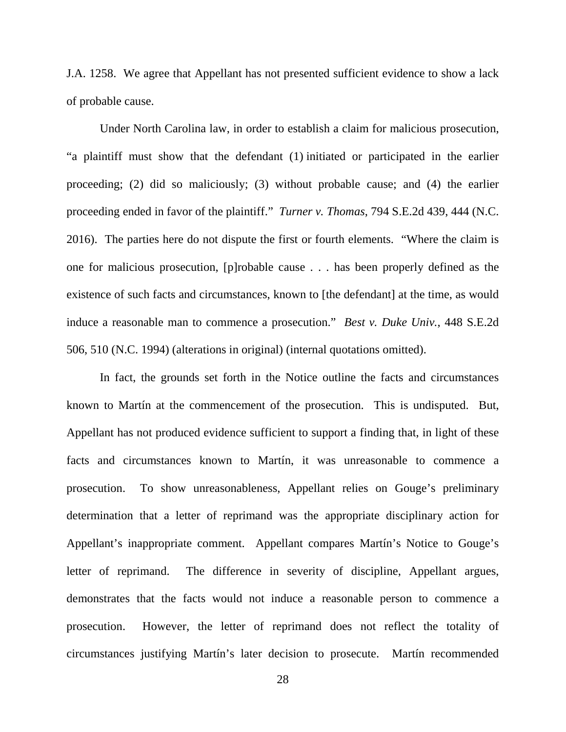J.A. 1258. We agree that Appellant has not presented sufficient evidence to show a lack of probable cause.

Under North Carolina law, in order to establish a claim for malicious prosecution, "a plaintiff must show that the defendant (1) initiated or participated in the earlier proceeding; (2) did so maliciously; (3) without probable cause; and (4) the earlier proceeding ended in favor of the plaintiff." *Turner v. Thomas*, 794 S.E.2d 439, 444 (N.C. 2016). The parties here do not dispute the first or fourth elements. "Where the claim is one for malicious prosecution, [p]robable cause . . . has been properly defined as the existence of such facts and circumstances, known to [the defendant] at the time, as would induce a reasonable man to commence a prosecution." *Best v. Duke Univ.*, 448 S.E.2d 506, 510 (N.C. 1994) (alterations in original) (internal quotations omitted).

In fact, the grounds set forth in the Notice outline the facts and circumstances known to Martín at the commencement of the prosecution. This is undisputed. But, Appellant has not produced evidence sufficient to support a finding that, in light of these facts and circumstances known to Martín, it was unreasonable to commence a prosecution. To show unreasonableness, Appellant relies on Gouge's preliminary determination that a letter of reprimand was the appropriate disciplinary action for Appellant's inappropriate comment. Appellant compares Martín's Notice to Gouge's letter of reprimand. The difference in severity of discipline, Appellant argues, demonstrates that the facts would not induce a reasonable person to commence a prosecution. However, the letter of reprimand does not reflect the totality of circumstances justifying Martín's later decision to prosecute. Martín recommended

28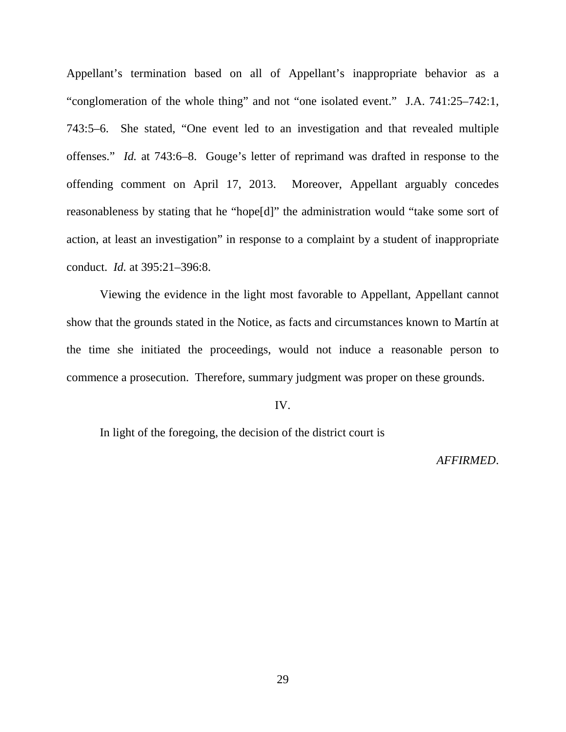Appellant's termination based on all of Appellant's inappropriate behavior as a "conglomeration of the whole thing" and not "one isolated event." J.A. 741:25–742:1, 743:5–6. She stated, "One event led to an investigation and that revealed multiple offenses." *Id.* at 743:6–8. Gouge's letter of reprimand was drafted in response to the offending comment on April 17, 2013. Moreover, Appellant arguably concedes reasonableness by stating that he "hope[d]" the administration would "take some sort of action, at least an investigation" in response to a complaint by a student of inappropriate conduct. *Id.* at 395:21–396:8.

Viewing the evidence in the light most favorable to Appellant, Appellant cannot show that the grounds stated in the Notice, as facts and circumstances known to Martín at the time she initiated the proceedings, would not induce a reasonable person to commence a prosecution. Therefore, summary judgment was proper on these grounds.

## IV.

In light of the foregoing, the decision of the district court is

### *AFFIRMED*.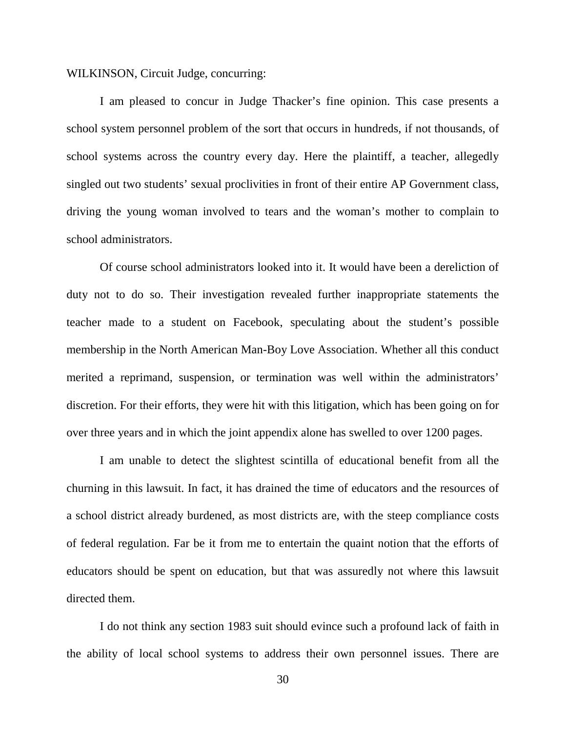### WILKINSON, Circuit Judge, concurring:

I am pleased to concur in Judge Thacker's fine opinion. This case presents a school system personnel problem of the sort that occurs in hundreds, if not thousands, of school systems across the country every day. Here the plaintiff, a teacher, allegedly singled out two students' sexual proclivities in front of their entire AP Government class, driving the young woman involved to tears and the woman's mother to complain to school administrators.

Of course school administrators looked into it. It would have been a dereliction of duty not to do so. Their investigation revealed further inappropriate statements the teacher made to a student on Facebook, speculating about the student's possible membership in the North American Man-Boy Love Association. Whether all this conduct merited a reprimand, suspension, or termination was well within the administrators' discretion. For their efforts, they were hit with this litigation, which has been going on for over three years and in which the joint appendix alone has swelled to over 1200 pages.

I am unable to detect the slightest scintilla of educational benefit from all the churning in this lawsuit. In fact, it has drained the time of educators and the resources of a school district already burdened, as most districts are, with the steep compliance costs of federal regulation. Far be it from me to entertain the quaint notion that the efforts of educators should be spent on education, but that was assuredly not where this lawsuit directed them.

I do not think any section 1983 suit should evince such a profound lack of faith in the ability of local school systems to address their own personnel issues. There are